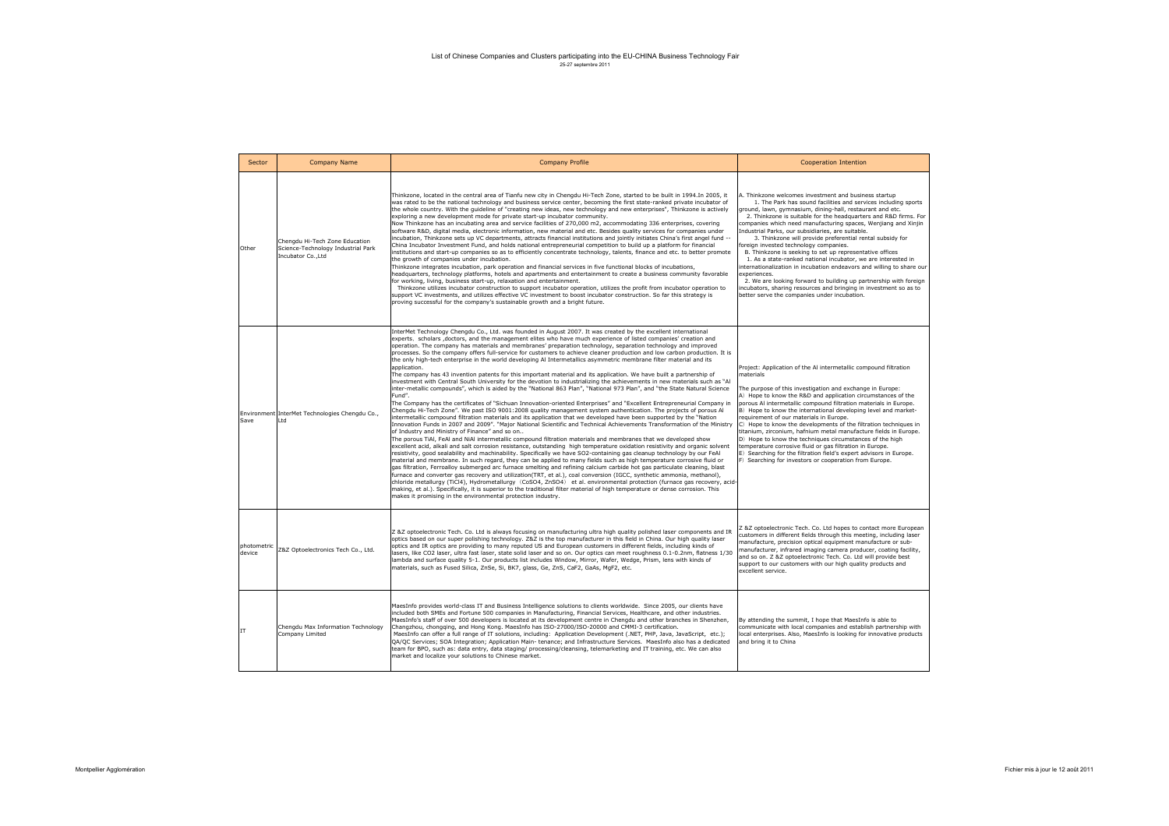| Sector                | <b>Company Name</b>                                                                        | <b>Company Profile</b>                                                                                                                                                                                                                                                                                                                                                                                                                                                                                                                                                                                                                                                                                                                                                                                                                                                                                                                                                                                                                                                                                                                                                                                                                                                                                                                                                                                                                                                                                                                                                                                                                                                                                                                                                                                                                                                                                                                                                                                                                                                                                                                                                                                                                                                                                                                                                                                                                                                                                                                                                                                                                                                  | <b>Cooperation Intention</b>                                                                                                                                                                                                                                                                                                                                                                                                                                                                                                                                                                                                                                                                                                                                                                                                                                                                           |
|-----------------------|--------------------------------------------------------------------------------------------|-------------------------------------------------------------------------------------------------------------------------------------------------------------------------------------------------------------------------------------------------------------------------------------------------------------------------------------------------------------------------------------------------------------------------------------------------------------------------------------------------------------------------------------------------------------------------------------------------------------------------------------------------------------------------------------------------------------------------------------------------------------------------------------------------------------------------------------------------------------------------------------------------------------------------------------------------------------------------------------------------------------------------------------------------------------------------------------------------------------------------------------------------------------------------------------------------------------------------------------------------------------------------------------------------------------------------------------------------------------------------------------------------------------------------------------------------------------------------------------------------------------------------------------------------------------------------------------------------------------------------------------------------------------------------------------------------------------------------------------------------------------------------------------------------------------------------------------------------------------------------------------------------------------------------------------------------------------------------------------------------------------------------------------------------------------------------------------------------------------------------------------------------------------------------------------------------------------------------------------------------------------------------------------------------------------------------------------------------------------------------------------------------------------------------------------------------------------------------------------------------------------------------------------------------------------------------------------------------------------------------------------------------------------------------|--------------------------------------------------------------------------------------------------------------------------------------------------------------------------------------------------------------------------------------------------------------------------------------------------------------------------------------------------------------------------------------------------------------------------------------------------------------------------------------------------------------------------------------------------------------------------------------------------------------------------------------------------------------------------------------------------------------------------------------------------------------------------------------------------------------------------------------------------------------------------------------------------------|
| Other                 | Chenadu Hi-Tech Zone Education<br>Science-Technology Industrial Park<br>Incubator Co., Ltd | Thinkzone, located in the central area of Tianfu new city in Chengdu Hi-Tech Zone, started to be built in 1994.In 2005, it<br>was rated to be the national technology and business service center, becoming the first state-ranked private incubator of<br>the whole country. With the guideline of "creating new ideas, new technology and new enterprises", Thinkzone is actively<br>exploring a new development mode for private start-up incubator community.<br>Now Thinkzone has an incubating area and service facilities of 270,000 m2, accommodating 336 enterprises, covering<br>software R&D, digital media, electronic information, new material and etc. Besides quality services for companies under<br>incubation, Thinkzone sets up VC departments, attracts financial institutions and jointly initiates China's first angel fund --<br>China Incubator Investment Fund, and holds national entrepreneurial competition to build up a platform for financial<br>institutions and start-up companies so as to efficiently concentrate technology, talents, finance and etc. to better promote<br>the growth of companies under incubation.<br>Thinkzone integrates incubation, park operation and financial services in five functional blocks of incubations,<br>headquarters, technology platforms, hotels and apartments and entertainment to create a business community favorable<br>for working, living, business start-up, relaxation and entertainment.<br>Thinkzone utilizes incubator construction to support incubator operation, utilizes the profit from incubator operation to<br>support VC investments, and utilizes effective VC investment to boost incubator construction. So far this strategy is<br>proving successful for the company's sustainable growth and a bright future.                                                                                                                                                                                                                                                                                                                                                                                                                                                                                                                                                                                                                                                                                                                                                                                                                                                   | A. Thinkzone welcomes investment and business startup<br>1. The Park has sound facilities and services including sports<br>ground, lawn, gymnasium, dining-hall, restaurant and etc.<br>2. Thinkzone is suitable for the headquarters and R&D firms. For<br>companies which need manufacturing spaces, Wenjiang and Xinjin<br>Industrial Parks, our subsidiaries, are suitable.<br>3. Thinkzone will provide preferential rental subsidy for<br>foreign invested technology companies.<br>B. Thinkzone is seeking to set up representative offices<br>1. As a state-ranked national incubator, we are interested in<br>internationalization in incubation endeavors and willing to share our<br>experiences.<br>2. We are looking forward to building up partnership with foreign<br>incubators, sharing resources and bringing in investment so as to<br>better serve the companies under incubation. |
| Save                  | Environment InterMet Technologies Chengdu Co.,<br>Ltd                                      | InterMet Technology Chengdu Co., Ltd. was founded in August 2007. It was created by the excellent international<br>experts, scholars ,doctors, and the management elites who have much experience of listed companies' creation and<br>operation. The company has materials and membranes' preparation technology, separation technology and improved<br>processes. So the company offers full-service for customers to achieve cleaner production and low carbon production. It is<br>the only high-tech enterprise in the world developing AI Intermetallics asymmetric membrane filter material and its<br>application.<br>The company has 43 invention patents for this important material and its application. We have built a partnership of<br>investment with Central South University for the devotion to industrializing the achievements in new materials such as "Al<br>inter-metallic compounds", which is aided by the "National 863 Plan", "National 973 Plan", and "the State Natural Science<br>Fund".<br>The Company has the certificates of "Sichuan Innovation-oriented Enterprises" and "Excellent Entrepreneurial Company in<br>Chengdu Hi-Tech Zone". We past ISO 9001:2008 quality management system authentication. The projects of porous Al<br>intermetallic compound filtration materials and its application that we developed have been supported by the "Nation<br>Innovation Funds in 2007 and 2009". "Major National Scientific and Technical Achievements Transformation of the Ministry<br>of Industry and Ministry of Finance" and so on<br>The porous TiAI, FeAI and NiAI intermetallic compound filtration materials and membranes that we developed show<br>excellent acid, alkali and salt corrosion resistance, outstanding high temperature oxidation resistivity and organic solvent<br>resistivity, good sealability and machinability. Specifically we have SO2-containing gas cleanup technology by our FeAl<br>material and membrane. In such regard, they can be applied to many fields such as high temperature corrosive fluid or<br>gas filtration, Ferroalloy submerged arc furnace smelting and refining calcium carbide hot gas particulate cleaning, blast<br>furnace and converter gas recovery and utilization(TRT, et al.), coal conversion (IGCC, synthetic ammonia, methanol),<br>chloride metallurgy (TiCl4), Hydrometallurgy (CoSO4, ZnSO4) et al. environmental protection (furnace gas recovery, acid-<br>making, et al.). Specifically, it is superior to the traditional filter material of high temperature or dense corrosion. This<br>makes it promising in the environmental protection industry. | Project: Application of the AI intermetallic compound filtration<br>materials<br>The purpose of this investigation and exchange in Europe:<br>A) Hope to know the R&D and application circumstances of the<br>porous AI intermetallic compound filtration materials in Europe.<br>B) Hope to know the international developing level and market-<br>requirement of our materials in Europe.<br>C) Hope to know the developments of the filtration techniques in<br>titanium, zirconium, hafnium metal manufacture fields in Europe.<br>D) Hope to know the techniques circumstances of the high<br>temperature corrosive fluid or gas filtration in Europe.<br>E) Searching for the filtration field's expert advisors in Europe.<br>F) Searching for investors or cooperation from Europe.                                                                                                            |
| photometric<br>device | Z&Z Optoelectronics Tech Co., Ltd.                                                         | Z &Z optoelectronic Tech. Co. Ltd is always focusing on manufacturing ultra high quality polished laser components and IR<br>optics based on our super polishing technology. Z&Z is the top manufacturer in this field in China. Our high quality laser<br>optics and IR optics are providing to many reputed US and European customers in different fields, including kinds of<br>lasers, like CO2 laser, ultra fast laser, state solid laser and so on. Our optics can meet roughness 0.1-0.2nm, flatness 1/30<br>lambda and surface quality 5-1. Our products list includes Window, Mirror, Wafer, Wedge, Prism, lens with kinds of<br>materials, such as Fused Silica, ZnSe, Si, BK7, glass, Ge, ZnS, CaF2, GaAs, MgF2, etc.                                                                                                                                                                                                                                                                                                                                                                                                                                                                                                                                                                                                                                                                                                                                                                                                                                                                                                                                                                                                                                                                                                                                                                                                                                                                                                                                                                                                                                                                                                                                                                                                                                                                                                                                                                                                                                                                                                                                        | Z &Z optoelectronic Tech. Co. Ltd hopes to contact more European<br>customers in different fields through this meeting, including laser<br>manufacture, precision optical equipment manufacture or sub-<br>manufacturer, infrared imaging camera producer, coating facility,<br>and so on. Z &Z optoelectronic Tech. Co. Ltd will provide best<br>support to our customers with our high quality products and<br>excellent service.                                                                                                                                                                                                                                                                                                                                                                                                                                                                    |
| IT                    | Chengdu Max Information Technology<br>Company Limited                                      | MaesInfo provides world-class IT and Business Intelligence solutions to clients worldwide. Since 2005, our clients have<br>included both SMEs and Fortune 500 companies in Manufacturing, Financial Services, Healthcare, and other industries.<br>MaesInfo's staff of over 500 developers is located at its development centre in Chengdu and other branches in Shenzhen,<br>Changzhou, chongging, and Hong Kong. MaesInfo has ISO-27000/ISO-20000 and CMMI-3 certification.<br>MaesInfo can offer a full range of IT solutions, including: Application Development (.NET, PHP, Java, JavaScript, etc.);<br>QA/QC Services; SOA Integration; Application Main-tenance; and Infrastructure Services. MaesInfo also has a dedicated<br>team for BPO, such as: data entry, data staging/ processing/cleansing, telemarketing and IT training, etc. We can also<br>market and localize your solutions to Chinese market.                                                                                                                                                                                                                                                                                                                                                                                                                                                                                                                                                                                                                                                                                                                                                                                                                                                                                                                                                                                                                                                                                                                                                                                                                                                                                                                                                                                                                                                                                                                                                                                                                                                                                                                                                   | By attending the summit, I hope that MaesInfo is able to<br>communicate with local companies and establish partnership with<br>local enterprises. Also, MaesInfo is looking for innovative products<br>and bring it to China                                                                                                                                                                                                                                                                                                                                                                                                                                                                                                                                                                                                                                                                           |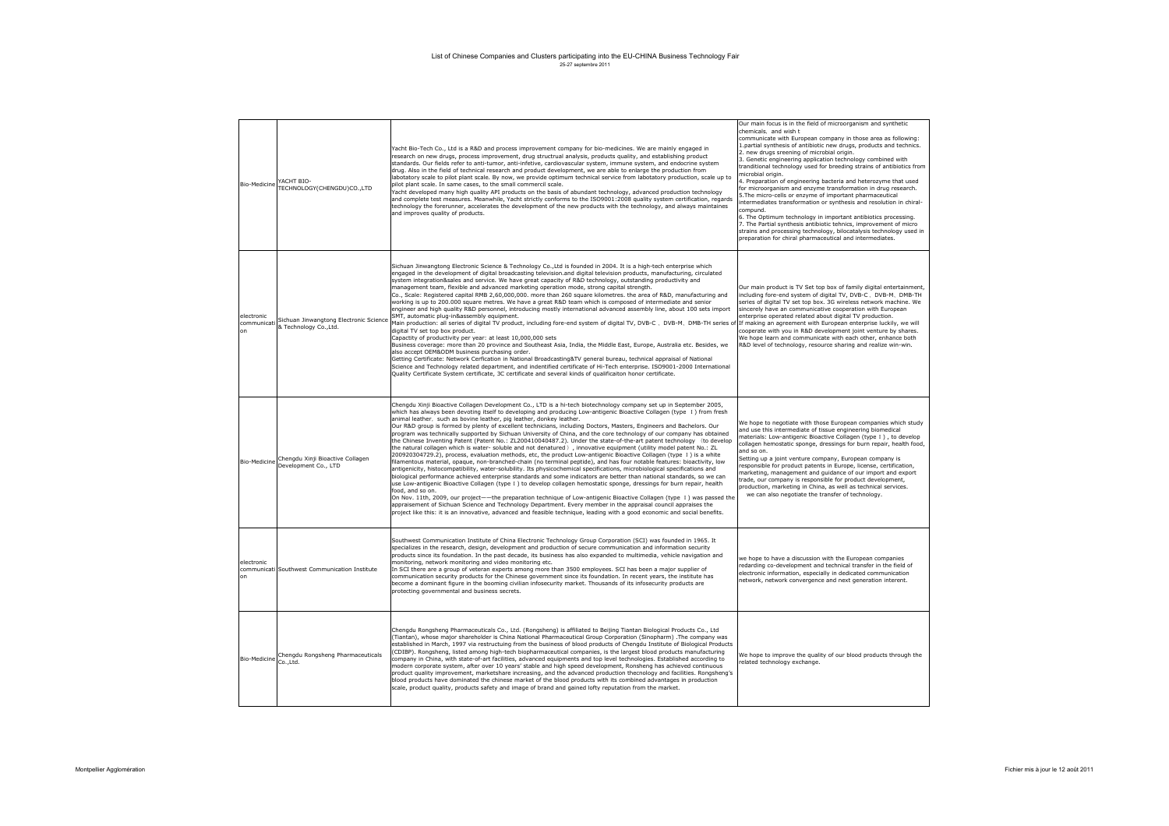| Bio-Medicine                    | YACHT BIO-<br>TECHNOLOGY(CHENGDU)CO.,LTD                         | Yacht Bio-Tech Co., Ltd is a R&D and process improvement company for bio-medicines. We are mainly engaged in<br>research on new drugs, process improvement, drug structrual analysis, products quality, and establishing product<br>standards. Our fields refer to anti-tumor, anti-infetive, cardiovascular system, immune system, and endocrine system<br>drug. Also in the field of technical research and product development, we are able to enlarge the production from<br>labotatory scale to pilot plant scale. By now, we provide optimum technical service from labotatory production, scale up to<br>pilot plant scale. In same cases, to the small commercil scale.<br>Yacht developed many high quality API products on the basis of abundant technology, advanced production technology<br>and complete test measures. Meanwhile, Yacht strictly conforms to the ISO9001:2008 quality system certification, regards<br>technology the forerunner, accelerates the development of the new products with the technology, and always maintaines<br>and improves quality of products.                                                                                                                                                                                                                                                                                                                                                                                                                                                                                                                                                                                                                                                                                                                                                           | Our main focus is in the field of microorganism and synthetic<br>chemicals, and wish t<br>communicate with European company in those area as following:<br>1.partial synthesis of antibiotic new drugs, products and technics.<br>2. new drugs sreening of microbial origin.<br>3. Genetic engineering application technology combined with<br>tranditional technology used for breeding strains of antibiotics from<br>microbial origin.<br>4. Preparation of engineering bacteria and heterozyme that used<br>for microorganism and enzyme transformation in drug research.<br>5. The micro-cells or enzyme of important pharmaceutical<br>intermediates transformation or synthesis and resolution in chiral-<br>compund.<br>6. The Optimum technology in important antibiotics processing.<br>7. The Partial synthesis antibiotic tehnics, improvement of micro<br>strains and processing technology, bilocatalysis technology used in<br>preparation for chiral pharmaceutical and intermediates. |
|---------------------------------|------------------------------------------------------------------|-----------------------------------------------------------------------------------------------------------------------------------------------------------------------------------------------------------------------------------------------------------------------------------------------------------------------------------------------------------------------------------------------------------------------------------------------------------------------------------------------------------------------------------------------------------------------------------------------------------------------------------------------------------------------------------------------------------------------------------------------------------------------------------------------------------------------------------------------------------------------------------------------------------------------------------------------------------------------------------------------------------------------------------------------------------------------------------------------------------------------------------------------------------------------------------------------------------------------------------------------------------------------------------------------------------------------------------------------------------------------------------------------------------------------------------------------------------------------------------------------------------------------------------------------------------------------------------------------------------------------------------------------------------------------------------------------------------------------------------------------------------------------------------------------------------------------------------------------------------|--------------------------------------------------------------------------------------------------------------------------------------------------------------------------------------------------------------------------------------------------------------------------------------------------------------------------------------------------------------------------------------------------------------------------------------------------------------------------------------------------------------------------------------------------------------------------------------------------------------------------------------------------------------------------------------------------------------------------------------------------------------------------------------------------------------------------------------------------------------------------------------------------------------------------------------------------------------------------------------------------------|
| electronic<br>communicati<br>on | Sichuan Jinwangtong Electronic Science<br>& Technology Co., Ltd. | Sichuan Jinwangtong Electronic Science & Technology Co., Ltd is founded in 2004. It is a high-tech enterprise which<br>engaged in the development of digital broadcasting television, and digital television products, manufacturing, circulated<br>system integration&sales and service. We have great capacity of R&D technology, outstanding productivity and<br>management team, flexible and advanced marketing operation mode, strong capital strength.<br>Co., Scale: Registered capital RMB 2,60,000,000. more than 260 square kilometres. the area of R&D, manufacturing and<br>working is up to 200.000 square metres. We have a great R&D team which is composed of intermediate and senior<br>engineer and high quality R&D personnel, introducing mostly international advanced assembly line, about 100 sets import<br>SMT, automatic plug-in&assembly equipment.<br>Main production: all series of digital TV product, including fore-end system of digital TV, DVB-C . DVB-M. DMB-TH series of<br>digital TV set top box product.<br>Capactity of productivity per year: at least 10,000,000 sets<br>Business coverage: more than 20 province and Southeast Asia, India, the Middle East, Europe, Australia etc. Besides, we<br>also accept OEM&ODM business purchasing order.<br>Getting Certificate: Network Cerfication in National Broadcasting&TV general bureau, technical appraisal of National<br>Science and Technology related department, and indentified certificate of Hi-Tech enterprise. ISO9001-2000 International<br>Quality Certificate System certificate, 3C certificate and several kinds of qualificaiton honor certificate.                                                                                                                                                                                        | Our main product is TV Set top box of family digital entertainment,<br>including fore-end system of digital TV, DVB-C, DVB-M, DMB-TH<br>series of digital TV set top box. 3G wireless network machine. We<br>sincerely have an communicative cooperation with European<br>enterprise operated related about digital TV production.<br>If making an agreement with European enterprise luckily, we will<br>cooperate with you in R&D development joint venture by shares.<br>We hope learn and communicate with each other, enhance both<br>R&D level of technology, resource sharing and realize win-win.                                                                                                                                                                                                                                                                                                                                                                                              |
| Bio-Medicine                    | Chengdu Xinji Bioactive Collagen<br>Development Co., LTD         | Chengdu Xinji Bioactive Collagen Development Co., LTD is a hi-tech biotechnology company set up in September 2005,<br>which has always been devoting itself to developing and producing Low-antigenic Bioactive Collagen (type I) from fresh<br>animal leather, such as bovine leather, pig leather, donkey leather.<br>Our R&D group is formed by plenty of excellent technicians, including Doctors, Masters, Engineers and Bachelors. Our<br>program was technically supported by Sichuan University of China, and the core technology of our company has obtained<br>the Chinese Inventing Patent (Patent No.: ZL200410040487.2). Under the state-of-the-art patent technology (to develop<br>the natural collagen which is water- soluble and not denatured ) , innovative equipment (utility model patent No.: ZL<br>200920304729.2), process, evaluation methods, etc, the product Low-antigenic Bioactive Collagen (type I) is a white<br>filamentous material, opaque, non-branched-chain (no terminal peptide), and has four notable features: bioactivity, low<br>antigenicity, histocompatibility, water-solubility. Its physicochemical specifications, microbiological specifications and<br>biological performance achieved enterprise standards and some indicators are better than national standards, so we can<br>use Low-antigenic Bioactive Collagen (type I) to develop collagen hemostatic sponge, dressings for burn repair, health<br>food, and so on.<br>On Nov. 11th, 2009, our project--the preparation technique of Low-antigenic Bioactive Collagen (type I) was passed the<br>appraisement of Sichuan Science and Technology Department. Every member in the appraisal council appraises the<br>project like this: it is an innovative, advanced and feasible technique, leading with a good economic and social benefits. | We hope to negotiate with those European companies which study<br>and use this intermediate of tissue engineering biomedical<br>materials: Low-antigenic Bioactive Collagen (type I), to develop<br>collagen hemostatic sponge, dressings for burn repair, health food,<br>and so on.<br>Setting up a joint venture company, European company is<br>responsible for product patents in Europe, license, certification,<br>marketing, management and guidance of our import and export<br>rade, our company is responsible for product development,<br>production, marketing in China, as well as technical services.<br>we can also negotiate the transfer of technology.                                                                                                                                                                                                                                                                                                                              |
| electronic<br>on                | communicati Southwest Communication Institute                    | Southwest Communication Institute of China Electronic Technology Group Corporation (SCI) was founded in 1965. It<br>specializes in the research, design, development and production of secure communication and information security<br>products since its foundation. In the past decade, its business has also expanded to multimedia, vehicle navigation and<br>monitoring, network monitoring and video monitoring etc.<br>In SCI there are a group of veteran experts among more than 3500 employees. SCI has been a major supplier of<br>communication security products for the Chinese government since its foundation. In recent years, the institute has<br>become a dominant figure in the booming civilian infosecurity market. Thousands of its infosecurity products are<br>protecting governmental and business secrets.                                                                                                                                                                                                                                                                                                                                                                                                                                                                                                                                                                                                                                                                                                                                                                                                                                                                                                                                                                                                                   | we hope to have a discussion with the European companies<br>redarding co-development and technical transfer in the field of<br>electronic information, especially in dedicated communication<br>network, network convergence and next generation interent.                                                                                                                                                                                                                                                                                                                                                                                                                                                                                                                                                                                                                                                                                                                                             |
| Bio-Medicine                    | Chengdu Rongsheng Pharmaceuticals<br>Co.,Ltd.                    | Chengdu Rongsheng Pharmaceuticals Co., Ltd. (Rongsheng) is affiliated to Beijing Tiantan Biological Products Co., Ltd<br>(Tiantan), whose major shareholder is China National Pharmaceutical Group Corporation (Sinopharm) .The company was<br>established in March, 1997 via restructuing from the business of blood products of Chengdu Institute of Biological Products<br>CDIBP). Rongsheng, listed among high-tech biopharmaceutical companies, is the largest blood products manufacturing<br>company in China, with state-of-art facilities, advanced equipments and top level technologies. Established according to<br>modern corporate system, after over 10 years' stable and high speed development, Ronsheng has achieved continuous<br>product quality improvement, marketshare increasing, and the advanced production thecnology and facilities. Rongsheng's<br>blood products have dominated the chinese market of the blood products with its combined advantages in production<br>scale, product quality, products safety and image of brand and gained lofty reputation from the market.                                                                                                                                                                                                                                                                                                                                                                                                                                                                                                                                                                                                                                                                                                                                              | We hope to improve the quality of our blood products through the<br>related technology exchange.                                                                                                                                                                                                                                                                                                                                                                                                                                                                                                                                                                                                                                                                                                                                                                                                                                                                                                       |
|                                 |                                                                  |                                                                                                                                                                                                                                                                                                                                                                                                                                                                                                                                                                                                                                                                                                                                                                                                                                                                                                                                                                                                                                                                                                                                                                                                                                                                                                                                                                                                                                                                                                                                                                                                                                                                                                                                                                                                                                                           |                                                                                                                                                                                                                                                                                                                                                                                                                                                                                                                                                                                                                                                                                                                                                                                                                                                                                                                                                                                                        |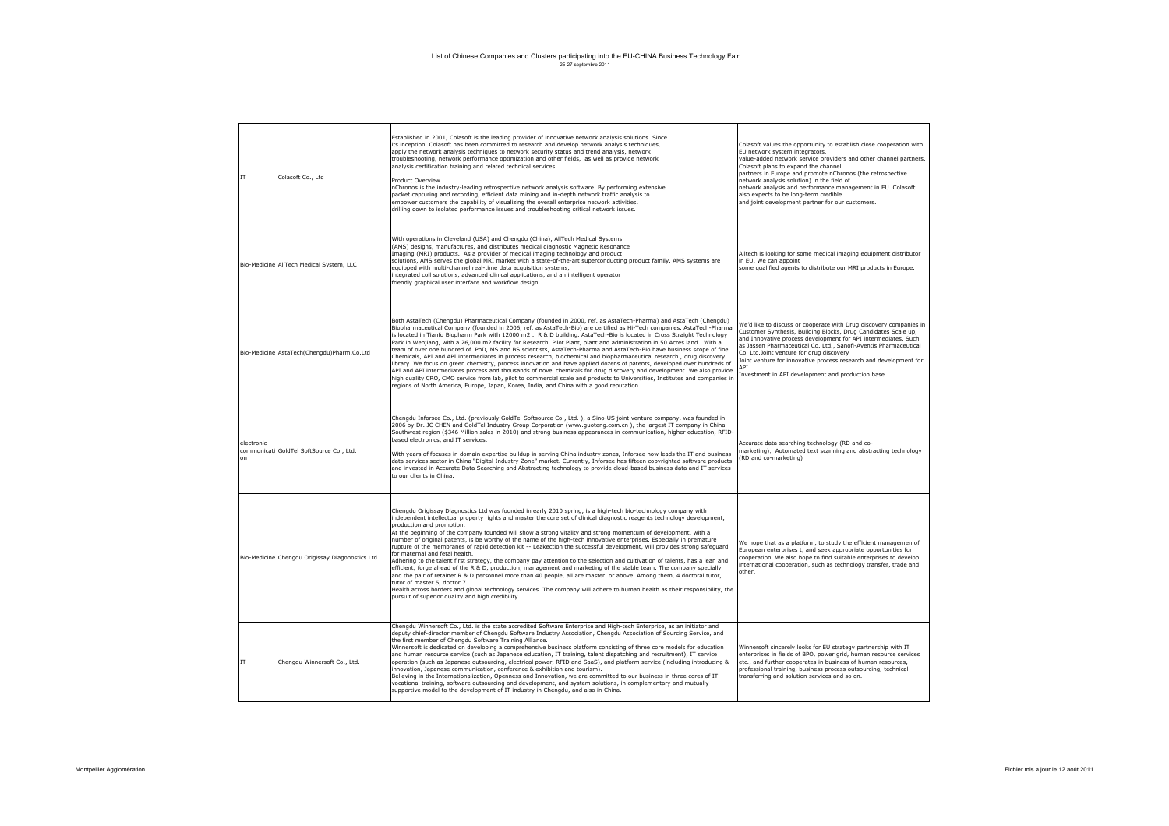| <b>IT</b>        | Colasoft Co., Ltd                               | Established in 2001, Colasoft is the leading provider of innovative network analysis solutions. Since<br>its inception, Colasoft has been committed to research and develop network analysis techniques,<br>apply the network analysis techniques to network security status and trend analysis, network<br>troubleshooting, network performance optimization and other fields, as well as provide network<br>analysis certification training and related technical services.<br>Product Overview<br>nChronos is the industry-leading retrospective network analysis software. By performing extensive<br>packet capturing and recording, efficient data mining and in-depth network traffic analysis to<br>empower customers the capability of visualizing the overall enterprise network activities,<br>drilling down to isolated performance issues and troubleshooting critical network issues.                                                                                                                                                                                                                                                                                                                                                                                | Colasoft values the opportunity to establish close cooperation with<br>EU network system integrators.<br>value-added network service providers and other channel partners.<br>Colasoft plans to expand the channel<br>partners in Europe and promote nChronos (the retrospective<br>network analysis solution) in the field of<br>network analysis and performance management in EU. Colasoft<br>also expects to be long-term credible<br>and joint development partner for our customers. |
|------------------|-------------------------------------------------|------------------------------------------------------------------------------------------------------------------------------------------------------------------------------------------------------------------------------------------------------------------------------------------------------------------------------------------------------------------------------------------------------------------------------------------------------------------------------------------------------------------------------------------------------------------------------------------------------------------------------------------------------------------------------------------------------------------------------------------------------------------------------------------------------------------------------------------------------------------------------------------------------------------------------------------------------------------------------------------------------------------------------------------------------------------------------------------------------------------------------------------------------------------------------------------------------------------------------------------------------------------------------------|--------------------------------------------------------------------------------------------------------------------------------------------------------------------------------------------------------------------------------------------------------------------------------------------------------------------------------------------------------------------------------------------------------------------------------------------------------------------------------------------|
|                  | Bio-Medicine AllTech Medical System, LLC        | With operations in Cleveland (USA) and Chengdu (China), AllTech Medical Systems<br>(AMS) designs, manufactures, and distributes medical diagnostic Magnetic Resonance<br>Imaging (MRI) products. As a provider of medical imaging technology and product<br>solutions, AMS serves the global MRI market with a state-of-the-art superconducting product family. AMS systems are<br>equipped with multi-channel real-time data acquisition systems,<br>integrated coil solutions, advanced clinical applications, and an intelligent operator<br>friendly graphical user interface and workflow design.                                                                                                                                                                                                                                                                                                                                                                                                                                                                                                                                                                                                                                                                             | Alltech is looking for some medical imaging equipment distributor<br>in EU. We can appoint<br>some qualified agents to distribute our MRI products in Europe.                                                                                                                                                                                                                                                                                                                              |
|                  | Bio-Medicine AstaTech(Chengdu)Pharm.Co.Ltd      | Both AstaTech (Chengdu) Pharmaceutical Company (founded in 2000, ref. as AstaTech-Pharma) and AstaTech (Chengdu)<br>Biopharmaceutical Company (founded in 2006, ref. as AstaTech-Bio) are certified as Hi-Tech companies. AstaTech-Pharma<br>is located in Tianfu Biopharm Park with 12000 m2. R & D building. AstaTech-Bio is located in Cross Straight Technology<br>Park in Wenjiang, with a 26,000 m2 facility for Research, Pilot Plant, plant and administration in 50 Acres land. With a<br>team of over one hundred of PhD, MS and BS scientists, AstaTech-Pharma and AstaTech-Bio have business scope of fine<br>Chemicals, API and API intermediates in process research, biochemical and biopharmaceutical research, drug discovery<br>library. We focus on green chemistry, process innovation and have applied dozens of patents, developed over hundreds of<br>API and API intermediates process and thousands of novel chemicals for drug discovery and development. We also provide<br>high quality CRO, CMO service from lab, pilot to commercial scale and products to Universities, Institutes and companies in<br>regions of North America, Europe, Japan, Korea, India, and China with a good reputation.                                                     | We'd like to discuss or cooperate with Drug discovery companies in<br>Customer Synthesis, Building Blocks, Drug Candidates Scale up,<br>and Innovative process development for API intermediates, Such<br>as Jassen Pharmaceutical Co. Ltd., Sanofi-Aventis Pharmaceutical<br>Co. Ltd.Joint venture for drug discovery<br>Joint venture for innovative process research and development for<br><b>APT</b><br>Investment in API development and production base                             |
| electronic<br>on | communicati GoldTel SoftSource Co., Ltd.        | Chengdu Inforsee Co., Ltd. (previously GoldTel Softsource Co., Ltd.), a Sino-US joint venture company, was founded in<br>2006 by Dr. JC CHEN and GoldTel Industry Group Corporation (www.quoteng.com.cn), the largest IT company in China<br>Southwest region (\$346 Million sales in 2010) and strong business appearances in communication, higher education, RFID-<br>based electronics, and IT services.<br>With years of focuses in domain expertise buildup in serving China industry zones. Inforsee now leads the IT and business<br>data services sector in China "Digital Industry Zone" market. Currently, Inforsee has fifteen copyrighted software products<br>and invested in Accurate Data Searching and Abstracting technology to provide cloud-based business data and IT services<br>to our clients in China.                                                                                                                                                                                                                                                                                                                                                                                                                                                    | Accurate data searching technology (RD and co-<br>marketing), Automated text scanning and abstracting technology<br>RD and co-marketing)                                                                                                                                                                                                                                                                                                                                                   |
|                  | Bio-Medicine Chengdu Origissay Diagonostics Ltd | Chengdu Origissay Diagnostics Ltd was founded in early 2010 spring, is a high-tech bio-technology company with<br>independent intellectual property rights and master the core set of clinical diagnostic reagents technology development,<br>production and promotion.<br>At the beginning of the company founded will show a strong vitality and strong momentum of development, with a<br>number of original patents, is be worthy of the name of the high-tech innovative enterprises. Especially in premature<br>rupture of the membranes of rapid detection kit -- Leakection the successful development, will provides strong safequard<br>for maternal and fetal health.<br>Adhering to the talent first strategy, the company pay attention to the selection and cultivation of talents, has a lean and<br>efficient, forge ahead of the R & D, production, management and marketing of the stable team. The company specially<br>and the pair of retainer R & D personnel more than 40 people, all are master or above. Among them, 4 doctoral tutor,<br>tutor of master 5, doctor 7.<br>Health across borders and global technology services. The company will adhere to human health as their responsibility, the<br>pursuit of superior quality and high credibility. | We hope that as a platform, to study the efficient managemen of<br>European enterprises t, and seek appropriate opportunities for<br>cooperation. We also hope to find suitable enterprises to develop<br>nternational cooperation, such as technology transfer, trade and<br>other.                                                                                                                                                                                                       |
| IT               | Chengdu Winnersoft Co., Ltd.                    | Chengdu Winnersoft Co., Ltd. is the state accredited Software Enterprise and High-tech Enterprise, as an initiator and<br>deputy chief-director member of Chengdu Software Industry Association, Chengdu Association of Sourcing Service, and<br>the first member of Chengdu Software Training Alliance.<br>Winnersoft is dedicated on developing a comprehensive business platform consisting of three core models for education<br>and human resource service (such as Japanese education, IT training, talent dispatching and recruitment), IT service<br>operation (such as Japanese outsourcing, electrical power, RFID and SaaS), and platform service (including introducing &<br>innovation, Japanese communication, conference & exhibition and tourism).<br>Believing in the Internationalization, Openness and Innovation, we are committed to our business in three cores of IT<br>vocational training, software outsourcing and development, and system solutions, in complementary and mutually<br>supportive model to the development of IT industry in Chengdu, and also in China.                                                                                                                                                                                 | Winnersoft sincerely looks for EU strategy partnership with IT<br>enterprises in fields of BPO, power grid, human resource services<br>etc., and further cooperates in business of human resources,<br>professional training, business process outsourcing, technical<br>transferring and solution services and so on.                                                                                                                                                                     |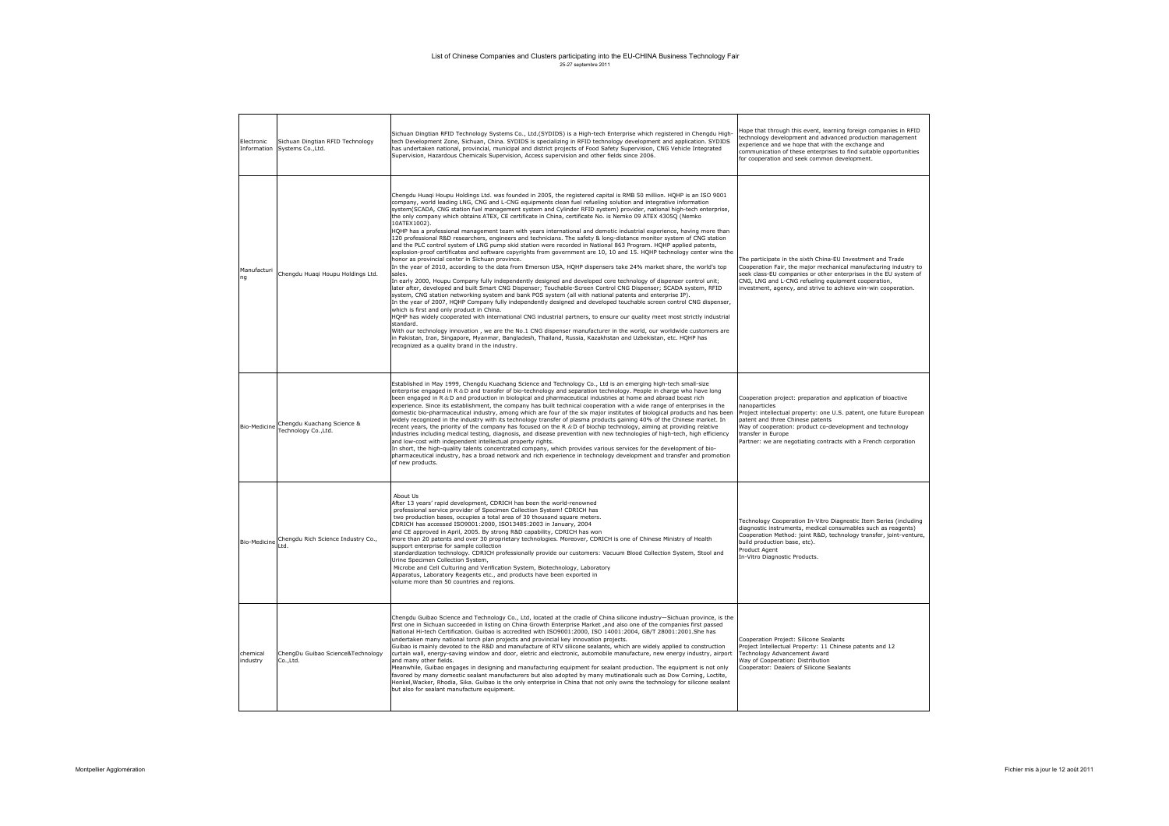| Electronic<br>Information | Sichuan Dingtian RFID Technology<br>Systems Co., Ltd. | Sichuan Dingtian RFID Technology Systems Co., Ltd.(SYDIDS) is a High-tech Enterprise which registered in Chengdu High-<br>tech Development Zone, Sichuan, China. SYDIDS is specializing in RFID technology development and application. SYDIDS<br>has undertaken national, provincial, municipal and district projects of Food Safety Supervision, CNG Vehicle Integrated<br>Supervision, Hazardous Chemicals Supervision, Access supervision and other fields since 2006.                                                                                                                                                                                                                                                                                                                                                                                                                                                                                                                                                                                                                                                                                                                                                                                                                                                                                                                                                                                                                                                                                                                                                                                                                                                                                                                                                                                                                                                                                                                                                                                                                                                                        | lope that through this event, learning foreign companies in RFID<br>technology development and advanced production management<br>experience and we hope that with the exchange and<br>communication of these enterprises to find suitable opportunities<br>for cooperation and seek common development.                                         |
|---------------------------|-------------------------------------------------------|---------------------------------------------------------------------------------------------------------------------------------------------------------------------------------------------------------------------------------------------------------------------------------------------------------------------------------------------------------------------------------------------------------------------------------------------------------------------------------------------------------------------------------------------------------------------------------------------------------------------------------------------------------------------------------------------------------------------------------------------------------------------------------------------------------------------------------------------------------------------------------------------------------------------------------------------------------------------------------------------------------------------------------------------------------------------------------------------------------------------------------------------------------------------------------------------------------------------------------------------------------------------------------------------------------------------------------------------------------------------------------------------------------------------------------------------------------------------------------------------------------------------------------------------------------------------------------------------------------------------------------------------------------------------------------------------------------------------------------------------------------------------------------------------------------------------------------------------------------------------------------------------------------------------------------------------------------------------------------------------------------------------------------------------------------------------------------------------------------------------------------------------------|-------------------------------------------------------------------------------------------------------------------------------------------------------------------------------------------------------------------------------------------------------------------------------------------------------------------------------------------------|
| Manufacturi<br>nq         | Chengdu Huaqi Houpu Holdings Ltd.                     | Chengdu Huagi Houpu Holdings Ltd. was founded in 2005, the registered capital is RMB 50 million. HQHP is an ISO 9001<br>company, world leading LNG, CNG and L-CNG equipments clean fuel refueling solution and integrative information<br>system(SCADA, CNG station fuel management system and Cylinder RFID system) provider, national high-tech enterprise,<br>the only company which obtains ATEX, CE certificate in China, certificate No. is Nemko 09 ATEX 4305Q (Nemko<br>10ATEX1002).<br>HQHP has a professional management team with years international and demotic industrial experience, having more than<br>120 professional R&D researchers, engineers and technicians. The safety & long-distance monitor system of CNG station<br>and the PLC control system of LNG pump skid station were recorded in National 863 Program. HQHP applied patents,<br>explosion-proof certificates and software copyrights from government are 10, 10 and 15. HQHP technology center wins the<br>honor as provincial center in Sichuan province.<br>In the year of 2010, according to the data from Emerson USA, HQHP dispensers take 24% market share, the world's top<br>sales.<br>In early 2000, Houpu Company fully independently designed and developed core technology of dispenser control unit;<br>later after, developed and built Smart CNG Dispenser; Touchable-Screen Control CNG Dispenser; SCADA system, RFID<br>system, CNG station networking system and bank POS system (all with national patents and enterprise IP).<br>In the year of 2007, HQHP Company fully independently designed and developed touchable screen control CNG dispenser,<br>which is first and only product in China.<br>HQHP has widely cooperated with international CNG industrial partners, to ensure our quality meet most strictly industrial<br>standard.<br>With our technology innovation, we are the No.1 CNG dispenser manufacturer in the world, our worldwide customers are<br>in Pakistan, Iran, Singapore, Myanmar, Bangladesh, Thailand, Russia, Kazakhstan and Uzbekistan, etc. HQHP has<br>recognized as a quality brand in the industry. | The participate in the sixth China-EU Investment and Trade<br>Cooperation Fair, the major mechanical manufacturing industry to<br>seek class-EU companies or other enterprises in the EU system of<br>CNG, LNG and L-CNG refueling equipment cooperation,<br>investment, agency, and strive to achieve win-win cooperation.                     |
| Bio-Medicine              | Chengdu Kuachang Science &<br>Technology Co., Ltd.    | Established in May 1999, Chengdu Kuachang Science and Technology Co., Ltd is an emerging high-tech small-size<br>enterprise engaged in R&D and transfer of bio-technology and separation technology. People in charge who have long<br>been engaged in R &D and production in biological and pharmaceutical industries at home and abroad boast rich<br>experience. Since its establishment, the company has built technical cooperation with a wide range of enterprises in the<br>domestic bio-pharmaceutical industry, among which are four of the six major institutes of biological products and has been<br>widely recognized in the industry with its technology transfer of plasma products gaining 40% of the Chinese market. In<br>recent years, the priority of the company has focused on the R &D of biochip technology, aiming at providing relative<br>industries including medical testing, diagnosis, and disease prevention with new technologies of high-tech, high efficiency<br>and low-cost with independent intellectual property rights.<br>In short, the high-quality talents concentrated company, which provides various services for the development of bio-<br>pharmaceutical industry, has a broad network and rich experience in technology development and transfer and promotion<br>of new products.                                                                                                                                                                                                                                                                                                                                                                                                                                                                                                                                                                                                                                                                                                                                                                                                             | Cooperation project: preparation and application of bioactive<br>nanoparticles<br>Project intellectual property: one U.S. patent, one future European<br>patent and three Chinese patents<br>Way of cooperation: product co-development and technology<br>transfer in Europe<br>Partner: we are negotiating contracts with a French corporation |
| Bio-Medicine              | Chengdu Rich Science Industry Co.,<br>Ltd.            | Ahout Us<br>After 13 years' rapid development, CDRICH has been the world-renowned<br>professional service provider of Specimen Collection System! CDRICH has<br>two production bases, occupies a total area of 30 thousand square meters.<br>CDRICH has accessed ISO9001:2000, ISO13485:2003 in January, 2004<br>and CE approved in April, 2005. By strong R&D capability, CDRICH has won<br>more than 20 patents and over 30 proprietary technologies. Moreover, CDRICH is one of Chinese Ministry of Health<br>support enterprise for sample collection<br>standardization technology. CDRICH professionally provide our customers: Vacuum Blood Collection System, Stool and<br>Urine Specimen Collection System,<br>Microbe and Cell Culturing and Verification System, Biotechnology, Laboratory<br>Apparatus, Laboratory Reagents etc., and products have been exported in<br>volume more than 50 countries and regions.                                                                                                                                                                                                                                                                                                                                                                                                                                                                                                                                                                                                                                                                                                                                                                                                                                                                                                                                                                                                                                                                                                                                                                                                                    | Technology Cooperation In-Vitro Diagnostic Item Series (including<br>diagnostic instruments, medical consumables such as reagents)<br>Cooperation Method: joint R&D, technology transfer, joint-venture,<br>build production base, etc).<br>Product Agent<br>In-Vitro Diagnostic Products.                                                      |
| chemical<br>industry      | ChengDu Guibao Science&Technology<br>Co., Ltd.        | Chengdu Guibao Science and Technology Co., Ltd, located at the cradle of China silicone industry-Sichuan province, is the<br>first one in Sichuan succeeded in listing on China Growth Enterprise Market ,and also one of the companies first passed<br>National Hi-tech Certification. Guibao is accredited with ISO9001:2000, ISO 14001:2004, GB/T 28001:2001.She has<br>undertaken many national torch plan projects and provincial key innovation projects.<br>Guibao is mainly devoted to the R&D and manufacture of RTV silicone sealants, which are widely applied to construction<br>curtain wall, energy-saving window and door, eletric and electronic, automobile manufacture, new energy industry, airport<br>and many other fields.<br>Meanwhile, Guibao engages in designing and manufacturing equipment for sealant production. The equipment is not only<br>favored by many domestic sealant manufacturers but also adopted by many mutinationals such as Dow Corning, Loctite,<br>Henkel, Wacker, Rhodia, Sika. Guibao is the only enterprise in China that not only owns the technology for silicone sealant<br>but also for sealant manufacture equipment.                                                                                                                                                                                                                                                                                                                                                                                                                                                                                                                                                                                                                                                                                                                                                                                                                                                                                                                                                                     | Cooperation Project: Silicone Sealants<br>Project Intellectual Property: 11 Chinese patents and 12<br>Technology Advancement Award<br>Way of Cooperation: Distribution<br>Cooperator: Dealers of Silicone Sealants                                                                                                                              |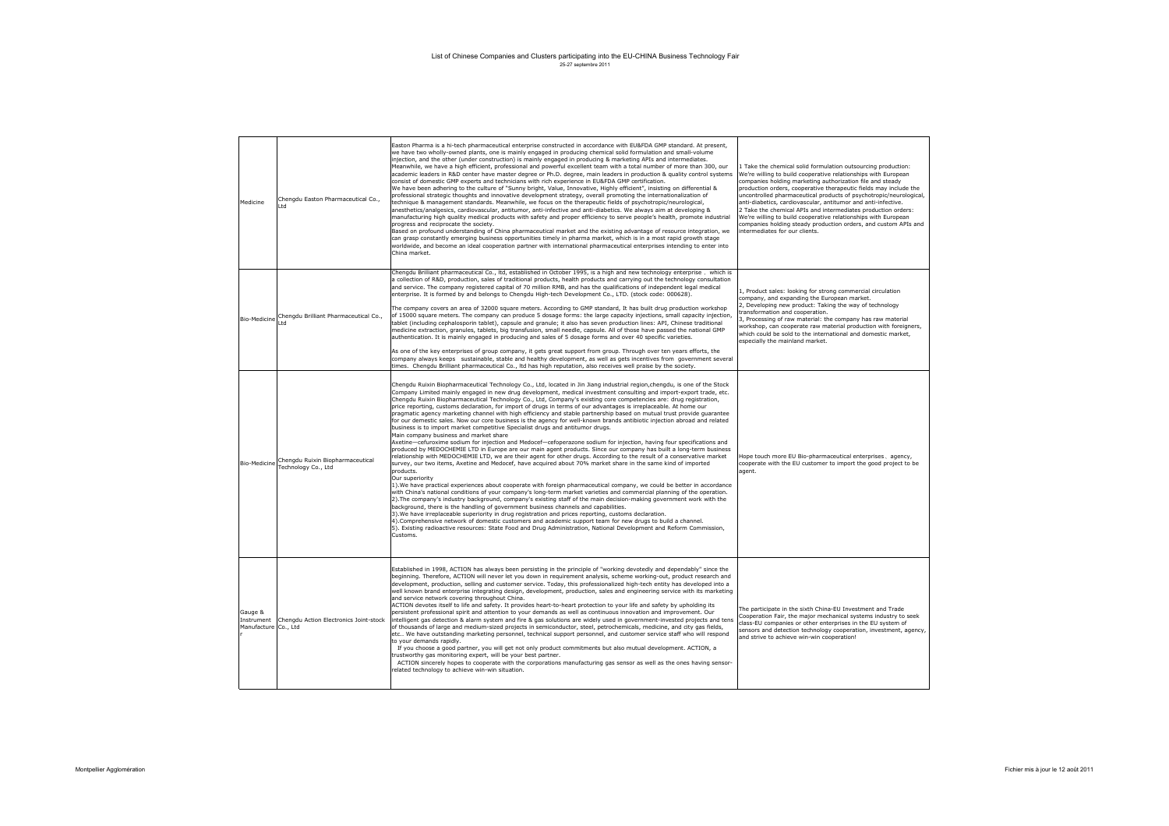| Medicine                                      | Chengdu Easton Pharmaceutical Co.,<br>l td              | Easton Pharma is a hi-tech pharmaceutical enterprise constructed in accordance with EU&FDA GMP standard. At present,<br>we have two wholly-owned plants, one is mainly engaged in producing chemical solid formulation and small-volume<br>injection, and the other (under construction) is mainly engaged in producing & marketing APIs and intermediates.<br>Meanwhile, we have a high efficient, professional and powerful excellent team with a total number of more than 300, our<br>academic leaders in R&D center have master degree or Ph.D. degree, main leaders in production & quality control systems<br>consist of domestic GMP experts and technicians with rich experience in EU&FDA GMP certification.<br>We have been adhering to the culture of "Sunny bright, Value, Innovative, Highly efficient", insisting on differential &<br>professional strategic thoughts and innovative development strategy, overall promoting the internationalization of<br>technique & management standards. Meanwhile, we focus on the therapeutic fields of psychotropic/neurological,<br>anesthetics/analgesics, cardiovascular, antitumor, anti-infective and anti-diabetics. We always aim at developing &<br>manufacturing high quality medical products with safety and proper efficiency to serve people's health, promote industrial<br>progress and reciprocate the society.<br>Based on profound understanding of China pharmaceutical market and the existing advantage of resource integration, we<br>can grasp constantly emerging business opportunities timely in pharma market, which is in a most rapid growth stage<br>worldwide, and become an ideal cooperation partner with international pharmaceutical enterprises intending to enter into<br>China market.                                                                                                                                                                                                                                                                                                                                                                                                                                                       | 1 Take the chemical solid formulation outsourcing production:<br>We're willing to build cooperative relationships with European<br>companies holding marketing authorization file and steady<br>production orders, cooperative therapeutic fields may include the<br>uncontrolled pharmaceutical products of psychotropic/neurological,<br>anti-diabetics, cardiovascular, antitumor and anti-infective.<br>2 Take the chemical APIs and intermediates production orders:<br>We're willing to build cooperative relationships with European<br>companies holding steady production orders, and custom APIs and<br>intermediates for our clients. |
|-----------------------------------------------|---------------------------------------------------------|--------------------------------------------------------------------------------------------------------------------------------------------------------------------------------------------------------------------------------------------------------------------------------------------------------------------------------------------------------------------------------------------------------------------------------------------------------------------------------------------------------------------------------------------------------------------------------------------------------------------------------------------------------------------------------------------------------------------------------------------------------------------------------------------------------------------------------------------------------------------------------------------------------------------------------------------------------------------------------------------------------------------------------------------------------------------------------------------------------------------------------------------------------------------------------------------------------------------------------------------------------------------------------------------------------------------------------------------------------------------------------------------------------------------------------------------------------------------------------------------------------------------------------------------------------------------------------------------------------------------------------------------------------------------------------------------------------------------------------------------------------------------------------------------------------------------------------------------------------------------------------------------------------------------------------------------------------------------------------------------------------------------------------------------------------------------------------------------------------------------------------------------------------------------------------------------------------------------------------------------|--------------------------------------------------------------------------------------------------------------------------------------------------------------------------------------------------------------------------------------------------------------------------------------------------------------------------------------------------------------------------------------------------------------------------------------------------------------------------------------------------------------------------------------------------------------------------------------------------------------------------------------------------|
| Bio-Medicine                                  | Chengdu Brilliant Pharmaceutical Co.,<br>ht I           | Chengdu Brilliant pharmaceutical Co., ltd, established in October 1995, is a high and new technology enterprise, which is<br>a collection of R&D, production, sales of traditional products, health products and carrying out the technology consultation<br>and service. The company registered capital of 70 million RMB, and has the qualifications of independent legal medical<br>enterprise. It is formed by and belongs to Chengdu High-tech Development Co., LTD. (stock code: 000628).<br>The company covers an area of 32000 square meters. According to GMP standard, It has built drug production workshop<br>of 15000 square meters. The company can produce 5 dosage forms: the large capacity injections, small capacity injection,<br>tablet (including cephalosporin tablet), capsule and granule; it also has seven production lines: API, Chinese traditional<br>medicine extraction, granules, tablets, big transfusion, small needle, capsule. All of those have passed the national GMP<br>authentication. It is mainly engaged in producing and sales of 5 dosage forms and over 40 specific varieties.<br>As one of the key enterprises of group company, it gets great support from group. Through over ten years efforts, the<br>company always keeps sustainable, stable and healthy development, as well as gets incentives from government several<br>times. Chengdu Brilliant pharmaceutical Co., Itd has high reputation, also receives well praise by the society.                                                                                                                                                                                                                                                                                                                                                                                                                                                                                                                                                                                                                                                                                                                                         | 1. Product sales: looking for strong commercial circulation<br>company, and expanding the European market.<br>2, Developing new product: Taking the way of technology<br>transformation and cooperation.<br>3, Processing of raw material: the company has raw material<br>workshop, can cooperate raw material production with foreigners,<br>which could be sold to the international and domestic market,<br>especially the mainland market.                                                                                                                                                                                                  |
| Bio-Medicine                                  | Chengdu Ruixin Biopharmaceutical<br>Technology Co., Ltd | Chengdu Ruixin Biopharmaceutical Technology Co., Ltd, located in Jin Jiang industrial region, chengdu, is one of the Stock<br>Company Limited mainly engaged in new drug development, medical investment consulting and import-export trade, etc.<br>Chengdu Ruixin Biopharmaceutical Technology Co., Ltd, Company's existing core competencies are: drug registration,<br>price reporting, customs declaration, for import of drugs in terms of our advantages is irreplaceable. At home our<br>pragmatic agency marketing channel with high efficiency and stable partnership based on mutual trust provide quarantee<br>for our demestic sales. Now our core business is the agency for well-known brands antibiotic injection abroad and related<br>business is to import market competitive Specialist drugs and antitumor drugs.<br>Main company business and market share<br>Axetine-cefuroxime sodium for injection and Medocef-cefoperazone sodium for injection, having four specifications and<br>produced by MEDOCHEMIE LTD in Europe are our main agent products. Since our company has built a long-term business<br>relationship with MEDOCHEMIE LTD, we are their agent for other drugs. According to the result of a conservative market<br>survey, our two items, Axetine and Medocef, have acquired about 70% market share in the same kind of imported<br>products.<br>Our superiority<br>1). We have practical experiences about cooperate with foreign pharmaceutical company, we could be better in accordance<br>with China's national conditions of your company's long-term market varieties and commercial planning of the operation.<br>2). The company's industry background, company's existing staff of the main decision-making government work with the<br>background, there is the handling of government business channels and capabilities.<br>3). We have irreplaceable superiority in drug registration and prices reporting, customs declaration.<br>4). Comprehensive network of domestic customers and academic support team for new drugs to build a channel.<br>5). Existing radioactive resources: State Food and Drug Administration, National Development and Reform Commission,<br>Customs. | Hope touch more EU Bio-pharmaceutical enterprises, agency,<br>cooperate with the EU customer to import the good project to be<br>agent.                                                                                                                                                                                                                                                                                                                                                                                                                                                                                                          |
| Gauge &<br>Instrument<br>Manufacture Co., Ltd | Chengdu Action Electronics Joint-stock                  | Established in 1998, ACTION has always been persisting in the principle of "working devotedly and dependably" since the<br>beginning. Therefore, ACTION will never let you down in requirement analysis, scheme working-out, product research and<br>development, production, selling and customer service. Today, this professionalized high-tech entity has developed into a<br>well known brand enterprise integrating design, development, production, sales and engineering service with its marketing<br>and service network covering throughout China.<br>ACTION devotes itself to life and safety. It provides heart-to-heart protection to your life and safety by upholding its<br>persistent professional spirit and attention to your demands as well as continuous innovation and improvement. Our<br>intelligent gas detection & alarm system and fire & gas solutions are widely used in government-invested projects and tens<br>of thousands of large and medium-sized projects in semiconductor, steel, petrochemicals, medicine, and city gas fields,<br>etc We have outstanding marketing personnel, technical support personnel, and customer service staff who will respond<br>to your demands rapidly.<br>If you choose a good partner, you will get not only product commitments but also mutual development. ACTION, a<br>trustworthy gas monitoring expert, will be your best partner.<br>ACTION sincerely hopes to cooperate with the corporations manufacturing gas sensor as well as the ones having sensor-<br>related technology to achieve win-win situation.                                                                                                                                                                                                                                                                                                                                                                                                                                                                                                                                                                                                                                              | The participate in the sixth China-EU Investment and Trade<br>Cooperation Fair, the major mechanical systems industry to seek<br>class-EU companies or other enterprises in the EU system of<br>sensors and detection technology cooperation, investment, agency,<br>and strive to achieve win-win cooperation!                                                                                                                                                                                                                                                                                                                                  |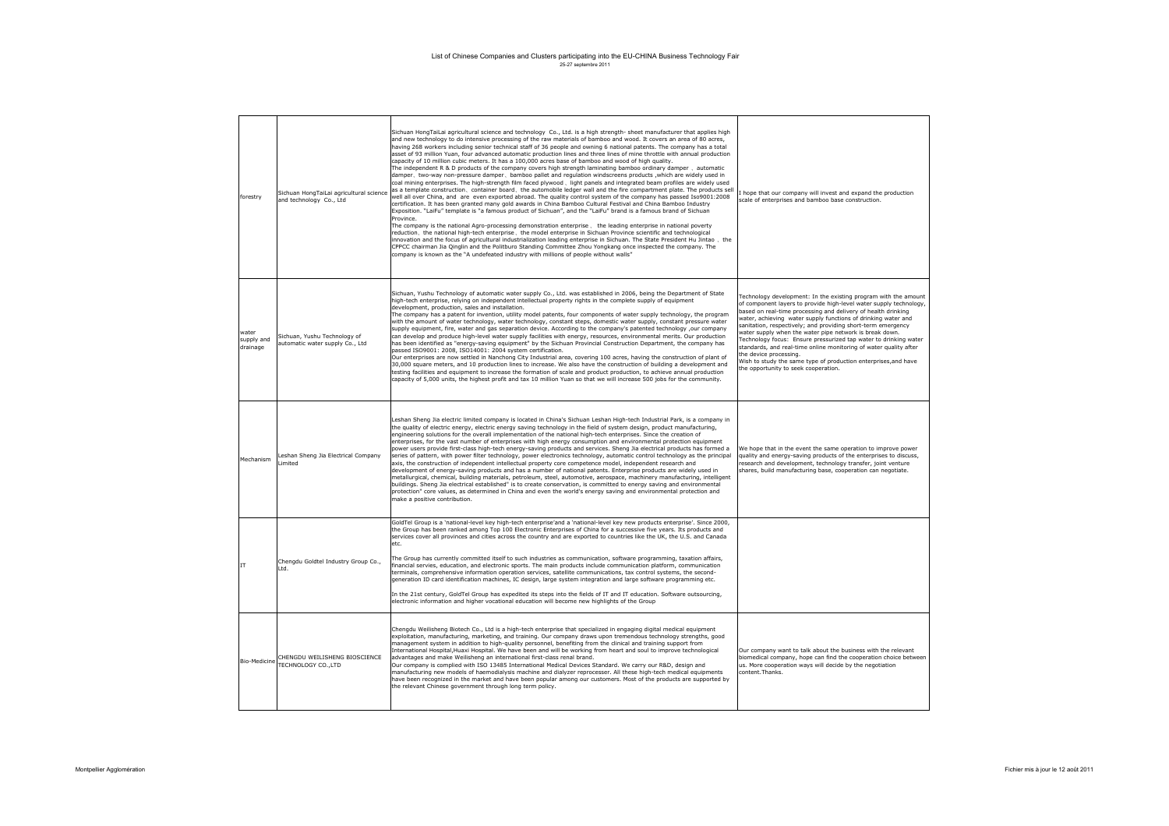| forestry                        | Sichuan HongTaiLai agricultural science<br>and technology Co., Ltd | Sichuan HongTaiLai agricultural science and technology Co., Ltd. is a high strength-sheet manufacturer that applies high<br>and new technology to do intensive processing of the raw materials of bamboo and wood. It covers an area of 80 acres,<br>having 268 workers including senior technical staff of 36 people and owning 6 national patents. The company has a total<br>asset of 93 million Yuan, four advanced automatic production lines and three lines of mine throttle with annual production<br>capacity of 10 million cubic meters. It has a 100,000 acres base of bamboo and wood of high quality.<br>The independent R & D products of the company covers high strength laminating bamboo ordinary damper, automatic<br>damper, two-way non-pressure damper, bamboo pallet and regulation windscreens products , which are widely used in<br>coal mining enterprises. The high-strength film faced plywood, light panels and integrated beam profiles are widely used<br>as a template construction, container board, the automobile ledger wall and the fire compartment plate. The products sell<br>well all over China, and are even exported abroad. The quality control system of the company has passed Iso9001:2008<br>certification. It has been granted many gold awards in China Bamboo Cultural Festival and China Bamboo Industry<br>Exposition. "LaiFu" template is "a famous product of Sichuan", and the "LaiFu" brand is a famous brand of Sichuan<br>Province.<br>The company is the national Agro-processing demonstration enterprise, the leading enterprise in national poverty<br>reduction, the national high-tech enterprise, the model enterprise in Sichuan Province scientific and technological<br>innovation and the focus of agricultural industrialization leading enterprise in Sichuan. The State President Hu Jintao, the<br>CPPCC chairman Jia Qinglin and the Politburo Standing Committee Zhou Yongkang once inspected the company. The<br>company is known as the "A undefeated industry with millions of people without walls" | I hope that our company will invest and expand the production<br>scale of enterprises and bamboo base construction.                                                                                                                                                                                                                                                                                                                                                                                                                                                                                                                                                              |
|---------------------------------|--------------------------------------------------------------------|---------------------------------------------------------------------------------------------------------------------------------------------------------------------------------------------------------------------------------------------------------------------------------------------------------------------------------------------------------------------------------------------------------------------------------------------------------------------------------------------------------------------------------------------------------------------------------------------------------------------------------------------------------------------------------------------------------------------------------------------------------------------------------------------------------------------------------------------------------------------------------------------------------------------------------------------------------------------------------------------------------------------------------------------------------------------------------------------------------------------------------------------------------------------------------------------------------------------------------------------------------------------------------------------------------------------------------------------------------------------------------------------------------------------------------------------------------------------------------------------------------------------------------------------------------------------------------------------------------------------------------------------------------------------------------------------------------------------------------------------------------------------------------------------------------------------------------------------------------------------------------------------------------------------------------------------------------------------------------------------------------------------------------------------------------------------------------------|----------------------------------------------------------------------------------------------------------------------------------------------------------------------------------------------------------------------------------------------------------------------------------------------------------------------------------------------------------------------------------------------------------------------------------------------------------------------------------------------------------------------------------------------------------------------------------------------------------------------------------------------------------------------------------|
| water<br>supply and<br>drainage | Sichuan, Yushu Technology of<br>automatic water supply Co., Ltd    | Sichuan, Yushu Technology of automatic water supply Co., Ltd. was established in 2006, being the Department of State<br>high-tech enterprise, relying on independent intellectual property rights in the complete supply of equipment<br>development, production, sales and installation.<br>The company has a patent for invention, utility model patents, four components of water supply technology, the program<br>with the amount of water technology, water technology, constant steps, domestic water supply, constant pressure water<br>supply equipment, fire, water and gas separation device. According to the company's patented technology ,our company<br>can develop and produce high-level water supply facilities with energy, resources, environmental merits. Our production<br>has been identified as "energy-saving equipment" by the Sichuan Provincial Construction Department, the company has<br>passed ISO9001: 2008, ISO14001: 2004 system certification.<br>Our enterprises are now settled in Nanchong City Industrial area, covering 100 acres, having the construction of plant of<br>30,000 square meters, and 10 production lines to increase. We also have the construction of building a development and<br>testing facilities and equipment to increase the formation of scale and product production, to achieve annual production<br>capacity of 5,000 units, the highest profit and tax 10 million Yuan so that we will increase 500 jobs for the community.                                                                                                                                                                                                                                                                                                                                                                                                                                                                                                                                                                                   | Technology development: In the existing program with the amount<br>of component layers to provide high-level water supply technology,<br>based on real-time processing and delivery of health drinking<br>water, achieving water supply functions of drinking water and<br>sanitation, respectively; and providing short-term emergency<br>water supply when the water pipe network is break down.<br>Technology focus: Ensure pressurized tap water to drinking water<br>standards, and real-time online monitoring of water quality after<br>the device processing.<br>Wish to study the same type of production enterprises, and have<br>the opportunity to seek cooperation. |
| Mechanism                       | Leshan Sheng Jia Electrical Company<br>.imited                     | Leshan Sheng Jia electric limited company is located in China's Sichuan Leshan High-tech Industrial Park, is a company in<br>the quality of electric energy, electric energy saving technology in the field of system design, product manufacturing,<br>engineering solutions for the overall implementation of the national high-tech enterprises. Since the creation of<br>enterprises, for the vast number of enterprises with high energy consumption and environmental protection equipment<br>power users provide first-class high-tech energy-saving products and services. Sheng Jia electrical products has formed a<br>series of pattern, with power filter technology, power electronics technology, automatic control technology as the principal<br>axis, the construction of independent intellectual property core competence model, independent research and<br>development of energy-saving products and has a number of national patents. Enterprise products are widely used in<br>metallurgical, chemical, building materials, petroleum, steel, automotive, aerospace, machinery manufacturing, intelligent<br>buildings. Sheng Jia electrical established" is to create conservation, is committed to energy saving and environmental<br>protection" core values, as determined in China and even the world's energy saving and environmental protection and<br>make a positive contribution.                                                                                                                                                                                                                                                                                                                                                                                                                                                                                                                                                                                                                                                                   | We hope that in the event the same operation to improve power<br>quality and energy-saving products of the enterprises to discuss,<br>research and development, technology transfer, joint venture<br>shares, build manufacturing base, cooperation can negotiate.                                                                                                                                                                                                                                                                                                                                                                                                               |
| IT                              | Chengdu Goldtel Industry Group Co.,<br>I td.                       | GoldTel Group is a 'national-level key high-tech enterprise'and a 'national-level key new products enterprise'. Since 2000,<br>the Group has been ranked among Top 100 Electronic Enterprises of China for a successive five years. Its products and<br>services cover all provinces and cities across the country and are exported to countries like the UK, the U.S. and Canada<br>etc.<br>The Group has currently committed itself to such industries as communication, software programming, taxation affairs,<br>financial servies, education, and electronic sports. The main products include communication platform, communication<br>terminals, comprehensive information operation services, satellite communications, tax control systems, the second-<br>generation ID card identification machines, IC design, large system integration and large software programming etc.<br>In the 21st century, GoldTel Group has expedited its steps into the fields of IT and IT education. Software outsourcing,<br>electronic information and higher vocational education will become new highlights of the Group                                                                                                                                                                                                                                                                                                                                                                                                                                                                                                                                                                                                                                                                                                                                                                                                                                                                                                                                                                |                                                                                                                                                                                                                                                                                                                                                                                                                                                                                                                                                                                                                                                                                  |
| Bio-Medicine                    | CHENGDU WEILISHENG BIOSCIENCE<br>TECHNOLOGY CO., LTD               | Chengdu Weilisheng Biotech Co., Ltd is a high-tech enterprise that specialized in engaging digital medical equipment<br>exploitation, manufacturing, marketing, and training. Our company draws upon tremendous technology strengths, good<br>management system in addition to high-quality personnel, benefiting from the clinical and training support from<br>International Hospital, Huaxi Hospital. We have been and will be working from heart and soul to improve technological<br>advantages and make Weilisheng an international first-class renal brand.<br>Our company is complied with ISO 13485 International Medical Devices Standard. We carry our R&D, design and<br>manufacturing new models of haemodialysis machine and dialyzer reprocesser. All these high-tech medical equipments<br>have been recognized in the market and have been popular among our customers. Most of the products are supported by<br>the relevant Chinese government through long term policy.                                                                                                                                                                                                                                                                                                                                                                                                                                                                                                                                                                                                                                                                                                                                                                                                                                                                                                                                                                                                                                                                                           | Our company want to talk about the business with the relevant<br>biomedical company, hope can find the cooperation choice between<br>us. More cooperation ways will decide by the negotiation<br>content. Thanks.                                                                                                                                                                                                                                                                                                                                                                                                                                                                |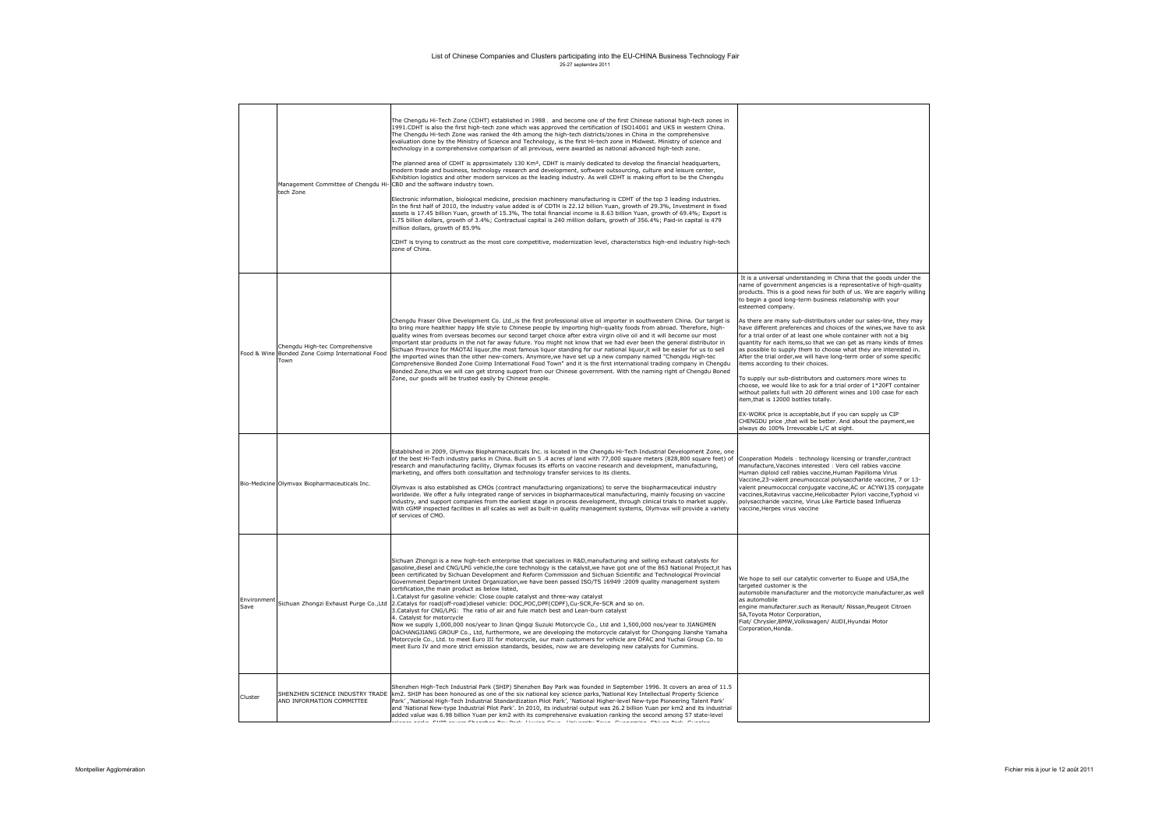|                     | Management Committee of Chengdu Hi-<br>tech Zone                                           | The Chengdu Hi-Tech Zone (CDHT) established in 1988, and become one of the first Chinese national high-tech zones in<br>1991.CDHT is also the first high-tech zone which was approved the certification of ISO14001 and UKS in western China.<br>The Chengdu Hi-tech Zone was ranked the 4th among the high-tech districts/zones in China in the comprehensive<br>evaluation done by the Ministry of Science and Technology, is the first Hi-tech zone in Midwest. Ministry of science and<br>technology in a comprehensive comparison of all previous, were awarded as national advanced high-tech zone.<br>The planned area of CDHT is approximately 130 Km <sup>2</sup> , CDHT is mainly dedicated to develop the financial headquarters,<br>modern trade and business, technology research and development, software outsourcing, culture and leisure center,<br>Exhibition logistics and other modern services as the leading industry. As well CDHT is making effort to be the Chengdu<br>CBD and the software industry town.<br>Electronic information, biological medicine, precision machinery manufacturing is CDHT of the top 3 leading industries.<br>In the first half of 2010, the industry value added is of CDTH is 22.12 billion Yuan, growth of 29.3%, Investment in fixed<br>assets is 17.45 billion Yuan, growth of 15.3%, The total financial income is 8.63 billion Yuan, growth of 69.4%; Export is<br>1.75 billion dollars, growth of 3.4%; Contractual capital is 240 million dollars, growth of 356.4%; Paid-in capital is 479<br>million dollars, growth of 85.9%<br>CDHT is trying to construct as the most core competitive, modernization level, characteristics high-end industry high-tech<br>zone of China. |                                                                                                                                                                                                                                                                                                                                                                                                                                                                                                                                                                                                                                                                                                                                                                                                                                                                                                                                                                                                                                                                                                                                                                                                     |
|---------------------|--------------------------------------------------------------------------------------------|----------------------------------------------------------------------------------------------------------------------------------------------------------------------------------------------------------------------------------------------------------------------------------------------------------------------------------------------------------------------------------------------------------------------------------------------------------------------------------------------------------------------------------------------------------------------------------------------------------------------------------------------------------------------------------------------------------------------------------------------------------------------------------------------------------------------------------------------------------------------------------------------------------------------------------------------------------------------------------------------------------------------------------------------------------------------------------------------------------------------------------------------------------------------------------------------------------------------------------------------------------------------------------------------------------------------------------------------------------------------------------------------------------------------------------------------------------------------------------------------------------------------------------------------------------------------------------------------------------------------------------------------------------------------------------------------------------------------------------------------|-----------------------------------------------------------------------------------------------------------------------------------------------------------------------------------------------------------------------------------------------------------------------------------------------------------------------------------------------------------------------------------------------------------------------------------------------------------------------------------------------------------------------------------------------------------------------------------------------------------------------------------------------------------------------------------------------------------------------------------------------------------------------------------------------------------------------------------------------------------------------------------------------------------------------------------------------------------------------------------------------------------------------------------------------------------------------------------------------------------------------------------------------------------------------------------------------------|
|                     | Chengdu High-tec Comprehensive<br>Food & Wine Bonded Zone Coimp International Food<br>Town | Chengdu Fraser Olive Development Co. Ltd., is the first professional olive oil importer in southwestern China. Our target is<br>to bring more healthier happy life style to Chinese people by importing high-quality foods from abroad. Therefore, high-<br>quality wines from overseas becomes our second target choice after extra virgin olive oil and it will become our most<br>important star products in the not far away future. You might not know that we had ever been the general distributor in<br>Sichuan Province for MAOTAI liquor, the most famous liquor standing for our national liquor, it will be easier for us to sell<br>the imported wines than the other new-comers. Anymore, we have set up a new company named "Chengdu High-tec<br>Comprehensive Bonded Zone Coimp International Food Town" and it is the first international trading company in Chengdu<br>Bonded Zone, thus we will can get strong support from our Chinese government. With the naming right of Chengdu Boned<br>Zone, our goods will be trusted easily by Chinese people.                                                                                                                                                                                                                                                                                                                                                                                                                                                                                                                                                                                                                                                                   | It is a universal understanding in China that the goods under the<br>name of government angencies is a representative of high-quality<br>products. This is a good news for both of us. We are eagerly willing<br>to begin a good long-term business relationship with your<br>esteemed company.<br>As there are many sub-distributors under our sales-line, they may<br>have different preferences and choices of the wines, we have to ask<br>for a trial order of at least one whole container with not a big<br>quantity for each items, so that we can get as many kinds of itmes<br>as possible to supply them to choose what they are interested in.<br>After the trial order, we will have long-term order of some specific<br>tems according to their choices.<br>To supply our sub-distributors and customers more wines to<br>choose, we would like to ask for a trial order of 1*20FT container<br>without pallets full with 20 different wines and 100 case for each<br>item, that is 12000 bottles totally.<br>EX-WORK price is acceptable, but if you can supply us CIP<br>CHENGDU price , that will be better. And about the payment, we<br>always do 100% Irrevocable L/C at sight. |
|                     | Bio-Medicine Olymvax Biopharmaceuticals Inc.                                               | Established in 2009, Olymvax Biopharmaceuticals Inc. is located in the Chengdu Hi-Tech Industrial Development Zone, one<br>of the best Hi-Tech industry parks in China. Built on 5 .4 acres of land with 77,000 square meters (828,800 square feet) of<br>research and manufacturing facility, Olymax focuses its efforts on vaccine research and development, manufacturing,<br>marketing, and offers both consultation and technology transfer services to its clients.<br>Olymvax is also established as CMOs (contract manufacturing organizations) to serve the biopharmaceutical industry<br>worldwide. We offer a fully integrated range of services in biopharmaceutical manufacturing, mainly focusing on vaccine<br>industry, and support companies from the earliest stage in process development, through clinical trials to market supply.<br>With cGMP inspected facilities in all scales as well as built-in quality management systems, Olymvax will provide a variety<br>of services of CMO.                                                                                                                                                                                                                                                                                                                                                                                                                                                                                                                                                                                                                                                                                                                                | Cooperation Models: technology licensing or transfer, contract<br>manufacture, Vaccines interested : Vero cell rabies vaccine<br>duman diploid cell rabies vaccine, Human Papilloma Virus<br>Vaccine, 23-valent pneumococcal polysaccharide vaccine, 7 or 13-<br>valent pneumococcal conjugate vaccine, AC or ACYW135 conjugate<br>vaccines, Rotavirus vaccine, Helicobacter Pylori vaccine, Typhoid vi<br>polysaccharide vaccine, Virus Like Particle based Influenza<br>vaccine.Herpes virus vaccine                                                                                                                                                                                                                                                                                                                                                                                                                                                                                                                                                                                                                                                                                              |
| Environment<br>Save | Sichuan Zhongzi Exhaust Purge Co., Ltd                                                     | Sichuan Zhongzi is a new high-tech enterprise that specializes in R&D, manufacturing and selling exhaust catalysts for<br>gasoline, diesel and CNG/LPG vehicle, the core technology is the catalyst, we have got one of the 863 National Project, it has<br>been certificated by Sichuan Development and Reform Commission and Sichuan Scientific and Technological Provincial<br>Government Department United Organization, we have been passed ISO/TS 16949 : 2009 quality management system<br>certification, the main product as below listed,<br>1. Catalyst for gasoline vehicle: Close couple catalyst and three-way catalyst<br>2.Catalys for road(off-road)diesel vehicle: DOC,POC,DPF(CDPF),Cu-SCR,Fe-SCR and so on.<br>3. Catalyst for CNG/LPG: The ratio of air and fule match best and Lean-burn catalyst<br>4. Catalyst for motorcycle<br>Now we supply 1,000,000 nos/year to Jinan Qingqi Suzuki Motorcycle Co., Ltd and 1,500,000 nos/year to JIANGMEN<br>DACHANGJIANG GROUP Co., Ltd, furthermore, we are developing the motorcycle catalyst for Chongqing Jianshe Yamaha<br>Motorcycle Co., Ltd. to meet Euro III for motorcycle, our main customers for vehicle are DFAC and Yuchai Group Co. to<br>meet Euro IV and more strict emission standards, besides, now we are developing new catalysts for Cummins.                                                                                                                                                                                                                                                                                                                                                                                                            | We hope to sell our catalytic converter to Euope and USA, the<br>targeted customer is the<br>automobile manufacturer and the motorcycle manufacturer, as well<br>as automobile<br>engine manufacturer.such as Renault/ Nissan, Peugeot Citroen<br>SA.Tovota Motor Corporation.<br>Fiat/ Chrysler, BMW, Volkswagen/ AUDI, Hyundai Motor<br>Corporation, Honda.                                                                                                                                                                                                                                                                                                                                                                                                                                                                                                                                                                                                                                                                                                                                                                                                                                       |
| Cluster             | SHENZHEN SCIENCE INDUSTRY TRADE<br>AND INFORMATION COMMITTEE                               | Shenzhen High-Tech Industrial Park (SHIP) Shenzhen Bay Park was founded in September 1996. It covers an area of 11.5<br>km2. SHIP has been honoured as one of the six national key science parks, 'National Key Intellectual Property Science<br>'Park' ,'National High-Tech Industrial Standardization Pilot Park', 'National Higher-level New-type Pioneering Talent Park<br>and 'National New-type Industrial Pilot Park'. In 2010, its industrial output was 26.2 billion Yuan per km2 and its industrial<br>added value was 6.98 billion Yuan per km2 with its comprehensive evaluation ranking the second among 57 state-level<br>cando AUR acons Abandra Bac Bado Houlan Anna - Habourko Taun - Accanador - Abban Bado - Acorda                                                                                                                                                                                                                                                                                                                                                                                                                                                                                                                                                                                                                                                                                                                                                                                                                                                                                                                                                                                                       |                                                                                                                                                                                                                                                                                                                                                                                                                                                                                                                                                                                                                                                                                                                                                                                                                                                                                                                                                                                                                                                                                                                                                                                                     |